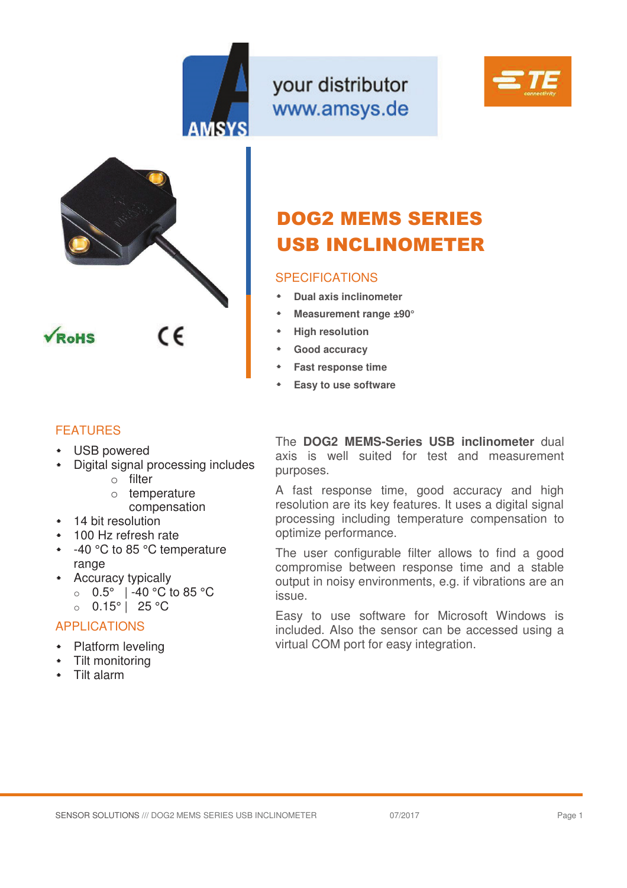

your distributor www.amsys.de





# DOG2 MEMS SERIES USB INCLINOMETER

## SPECIFICATIONS

- **Dual axis inclinometer**
- **Measurement range ±90°**
- **High resolution**
- **Good accuracy**
- **Fast response time**
- **Easy to use software**

## FEATURES

- USB powered
- Digital signal processing includes
	- $\circ$  filter
	- o temperature compensation
- 14 bit resolution
- 100 Hz refresh rate
- -40 °C to 85 °C temperature range
- Accuracy typically
	- o 0.5° | -40 °C to 85 °C
	- o 0.15° | 25 °C

# APPLICATIONS

- **\*** Platform leveling
- Tilt monitoring
- Tilt alarm

The **DOG2 MEMS-Series USB inclinometer** dual axis is well suited for test and measurement purposes.

A fast response time, good accuracy and high resolution are its key features. It uses a digital signal processing including temperature compensation to optimize performance.

The user configurable filter allows to find a good compromise between response time and a stable output in noisy environments, e.g. if vibrations are an issue.

Easy to use software for Microsoft Windows is included. Also the sensor can be accessed using a virtual COM port for easy integration.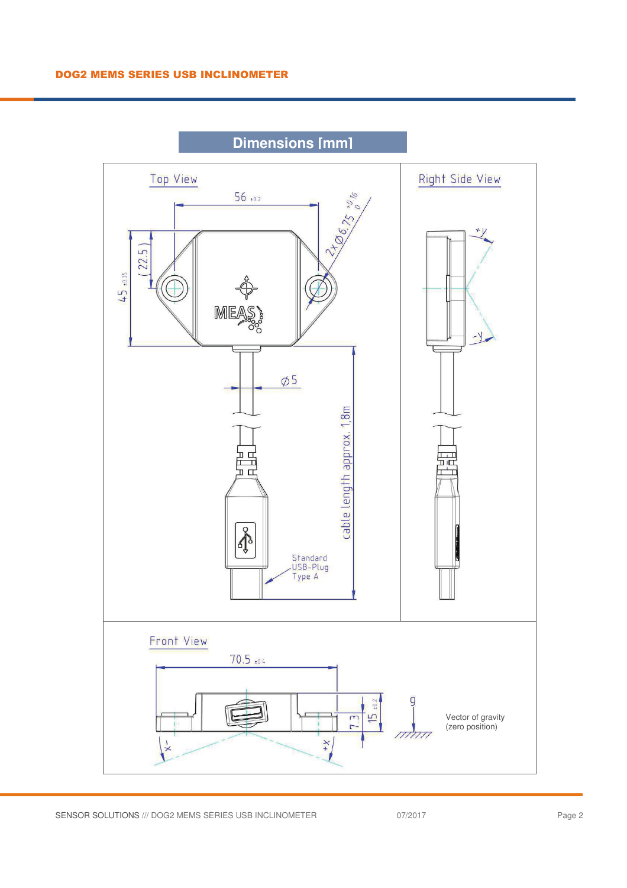

**Dimensions [mm]**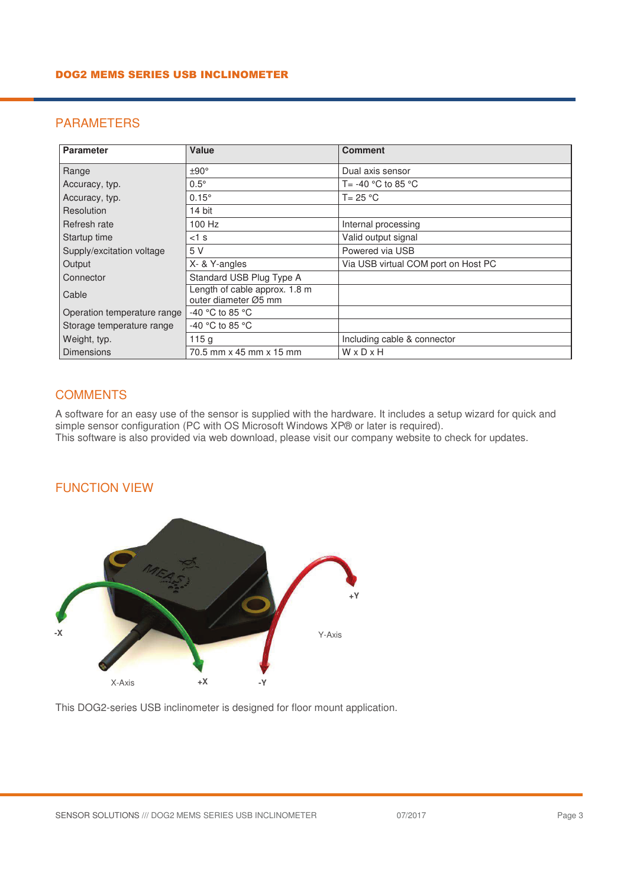# PARAMETERS

| <b>Parameter</b>            | Value                                                 | <b>Comment</b>                      |
|-----------------------------|-------------------------------------------------------|-------------------------------------|
| Range                       | ±90°                                                  | Dual axis sensor                    |
| Accuracy, typ.              | $0.5^\circ$                                           | T= -40 °C to 85 °C                  |
| Accuracy, typ.              | $0.15^\circ$                                          | $T = 25 °C$                         |
| Resolution                  | 14 bit                                                |                                     |
| Refresh rate                | 100 Hz                                                | Internal processing                 |
| Startup time                | $<$ 1 s                                               | Valid output signal                 |
| Supply/excitation voltage   | 5 V                                                   | Powered via USB                     |
| Output                      | X- & Y-angles                                         | Via USB virtual COM port on Host PC |
| Connector                   | Standard USB Plug Type A                              |                                     |
| Cable                       | Length of cable approx. 1.8 m<br>outer diameter Ø5 mm |                                     |
| Operation temperature range | -40 °C to 85 °C                                       |                                     |
| Storage temperature range   | -40 °C to 85 °C                                       |                                     |
| Weight, typ.                | 115g                                                  | Including cable & connector         |
| <b>Dimensions</b>           | 70.5 mm x 45 mm x 15 mm                               | WxDxH                               |

## **COMMENTS**

A software for an easy use of the sensor is supplied with the hardware. It includes a setup wizard for quick and simple sensor configuration (PC with OS Microsoft Windows XP® or later is required). This software is also provided via web download, please visit our company website to check for updates.

#### FUNCTION VIEW



This DOG2-series USB inclinometer is designed for floor mount application.